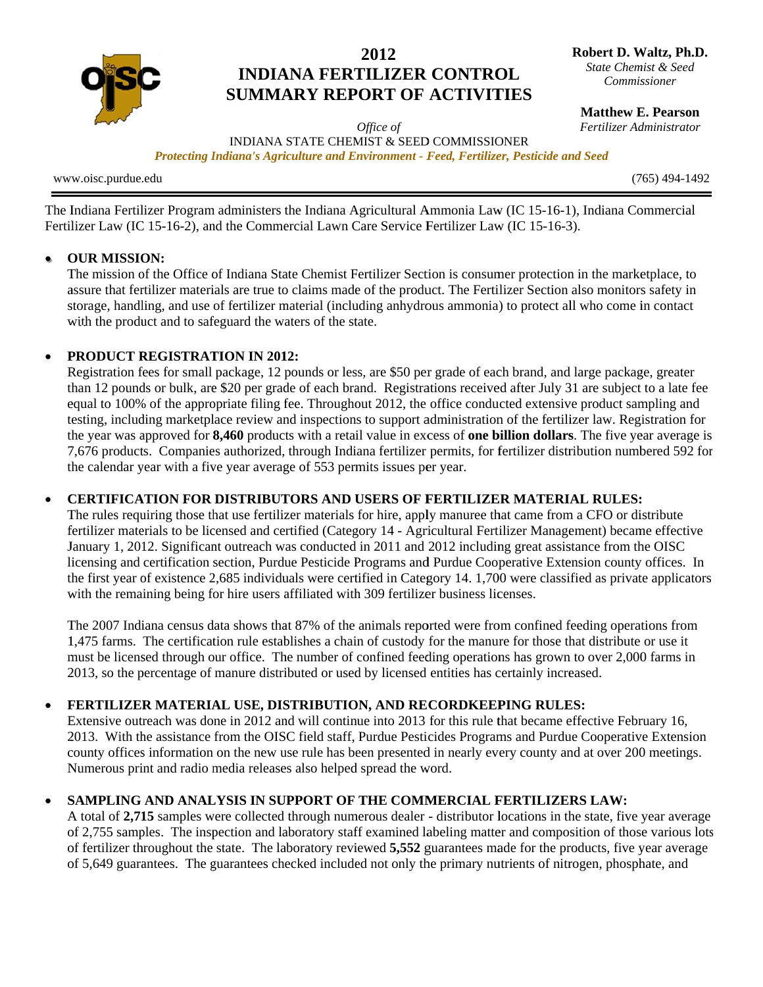

# 2012 **INDIANA FERTILIZER CONTROL SUMMARY REPORT OF ACTIVITIES**

Robert D. Waltz, Ph.D. State Chemist & Seed Commissioner

**Matthew E. Pearson** 

Fertilizer Administrator

Office of INDIANA STATE CHEMIST & SEED COMMISSIONER Protecting Indiana's Agriculture and Environment - Feed, Fertilizer, Pesticide and Seed

www.oisc.purdue.edu

 $(765)$  494-1492

The Indiana Fertilizer Program administers the Indiana Agricultural Ammonia Law (IC 15-16-1), Indiana Commercial Fertilizer Law (IC 15-16-2), and the Commercial Lawn Care Service Fertilizer Law (IC 15-16-3).

#### **OUR MISSION:**  $\bullet$

The mission of the Office of Indiana State Chemist Fertilizer Section is consumer protection in the marketplace, to assure that fertilizer materials are true to claims made of the product. The Fertilizer Section also monitors safety in storage, handling, and use of fertilizer material (including anhydrous ammonia) to protect all who come in contact with the product and to safeguard the waters of the state.

## **PRODUCT REGISTRATION IN 2012:**

Registration fees for small package, 12 pounds or less, are \$50 per grade of each brand, and large package, greater than 12 pounds or bulk, are \$20 per grade of each brand. Registrations received after July 31 are subject to a late fee equal to 100% of the appropriate filing fee. Throughout 2012, the office conducted extensive product sampling and testing, including marketplace review and inspections to support administration of the fertilizer law. Registration for the year was approved for 8,460 products with a retail value in excess of one billion dollars. The five year average is 7,676 products. Companies authorized, through Indiana fertilizer permits, for fertilizer distribution numbered 592 for the calendar year with a five year average of 553 permits issues per year.

#### **CERTIFICATION FOR DISTRIBUTORS AND USERS OF FERTILIZER MATERIAL RULES:**  $\bullet$

The rules requiring those that use fertilizer materials for hire, apply manuree that came from a CFO or distribute fertilizer materials to be licensed and certified (Category 14 - Agricultural Fertilizer Management) became effective January 1, 2012. Significant outreach was conducted in 2011 and 2012 including great assistance from the OISC licensing and certification section, Purdue Pesticide Programs and Purdue Cooperative Extension county offices. In the first year of existence 2,685 individuals were certified in Category 14. 1,700 were classified as private applicators with the remaining being for hire users affiliated with 309 fertilizer business licenses.

The 2007 Indiana census data shows that 87% of the animals reported were from confined feeding operations from 1,475 farms. The certification rule establishes a chain of custody for the manure for those that distribute or use it must be licensed through our office. The number of confined feeding operations has grown to over 2,000 farms in 2013, so the percentage of manure distributed or used by licensed entities has certainly increased.

#### $\bullet$ FERTILIZER MATERIAL USE, DISTRIBUTION, AND RECORDKEEPING RULES:

Extensive outreach was done in 2012 and will continue into 2013 for this rule that became effective February 16, 2013. With the assistance from the OISC field staff, Purdue Pesticides Programs and Purdue Cooperative Extension county offices information on the new use rule has been presented in nearly every county and at over 200 meetings. Numerous print and radio media releases also helped spread the word.

# SAMPLING AND ANALYSIS IN SUPPORT OF THE COMMERCIAL FERTILIZERS LAW:

A total of 2,715 samples were collected through numerous dealer - distributor locations in the state, five year average of 2.755 samples. The inspection and laboratory staff examined labeling matter and composition of those various lots of fertilizer throughout the state. The laboratory reviewed 5,552 guarantees made for the products, five year average of 5,649 guarantees. The guarantees checked included not only the primary nutrients of nitrogen, phosphate, and